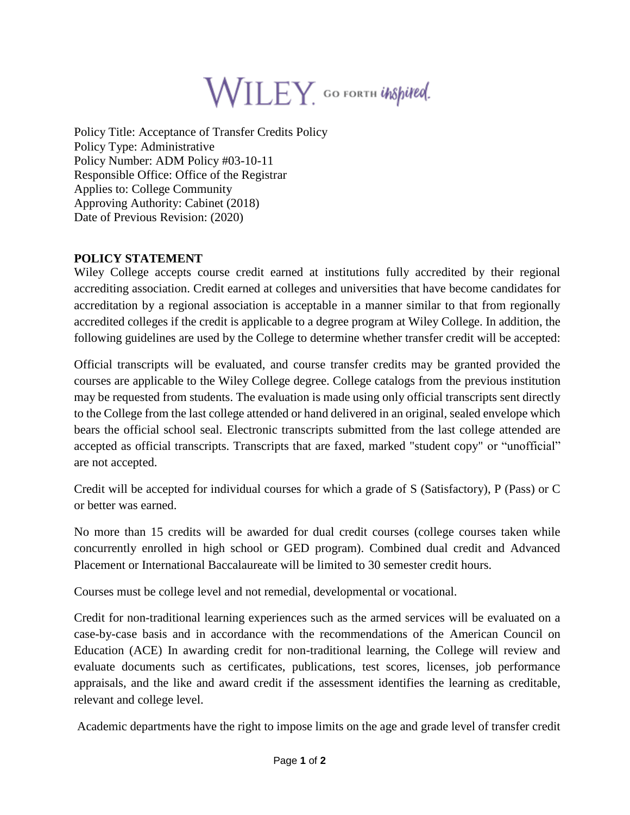

Policy Title: Acceptance of Transfer Credits Policy Policy Type: Administrative Policy Number: ADM Policy #03-10-11 Responsible Office: Office of the Registrar Applies to: College Community Approving Authority: Cabinet (2018) Date of Previous Revision: (2020)

## **POLICY STATEMENT**

Wiley College accepts course credit earned at institutions fully accredited by their regional accrediting association. Credit earned at colleges and universities that have become candidates for accreditation by a regional association is acceptable in a manner similar to that from regionally accredited colleges if the credit is applicable to a degree program at Wiley College. In addition, the following guidelines are used by the College to determine whether transfer credit will be accepted:

Official transcripts will be evaluated, and course transfer credits may be granted provided the courses are applicable to the Wiley College degree. College catalogs from the previous institution may be requested from students. The evaluation is made using only official transcripts sent directly to the College from the last college attended or hand delivered in an original, sealed envelope which bears the official school seal. Electronic transcripts submitted from the last college attended are accepted as official transcripts. Transcripts that are faxed, marked "student copy" or "unofficial" are not accepted.

Credit will be accepted for individual courses for which a grade of S (Satisfactory), P (Pass) or C or better was earned.

No more than 15 credits will be awarded for dual credit courses (college courses taken while concurrently enrolled in high school or GED program). Combined dual credit and Advanced Placement or International Baccalaureate will be limited to 30 semester credit hours.

Courses must be college level and not remedial, developmental or vocational.

Credit for non-traditional learning experiences such as the armed services will be evaluated on a case-by-case basis and in accordance with the recommendations of the American Council on Education (ACE) In awarding credit for non-traditional learning, the College will review and evaluate documents such as certificates, publications, test scores, licenses, job performance appraisals, and the like and award credit if the assessment identifies the learning as creditable, relevant and college level.

Academic departments have the right to impose limits on the age and grade level of transfer credit